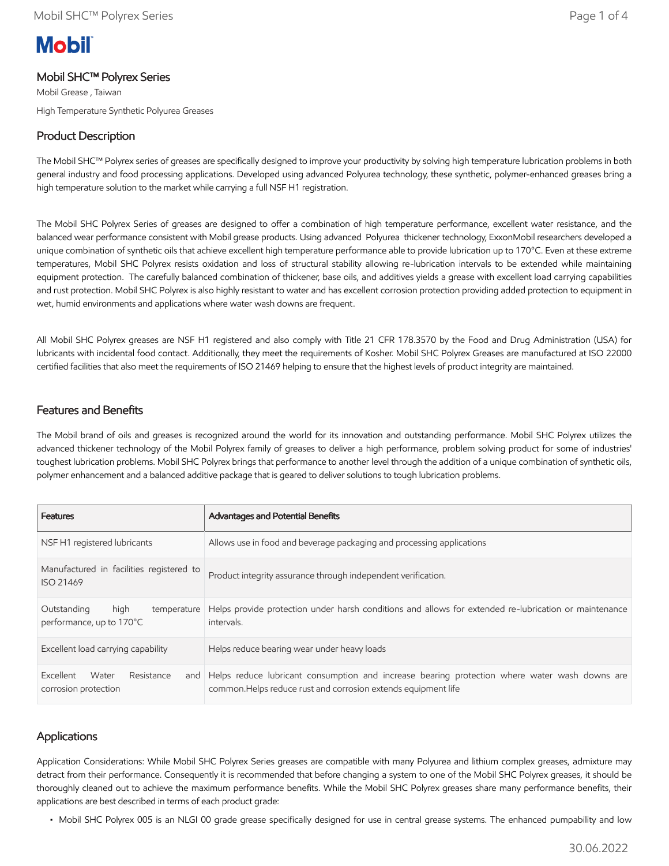# **Mobil**

# Mobil SHC™ Polyrex Series

Mobil Grease , Taiwan High Temperature Synthetic Polyurea Greases

# Product Description

The Mobil SHC™ Polyrex series of greases are specifically designed to improve your productivity by solving high temperature lubrication problems in both general industry and food processing applications. Developed using advanced Polyurea technology, these synthetic, polymer-enhanced greases bring a high temperature solution to the market while carrying a full NSF H1 registration.

The Mobil SHC Polyrex Series of greases are designed to offer a combination of high temperature performance, excellent water resistance, and the balanced wear performance consistent with Mobil grease products. Using advanced Polyurea thickener technology, ExxonMobil researchers developed a unique combination of synthetic oils that achieve excellent high temperature performance able to provide lubrication up to 170°C. Even at these extreme temperatures, Mobil SHC Polyrex resists oxidation and loss of structural stability allowing re-lubrication intervals to be extended while maintaining equipment protection. The carefully balanced combination of thickener, base oils, and additives yields a grease with excellent load carrying capabilities and rust protection. Mobil SHC Polyrex is also highly resistant to water and has excellent corrosion protection providing added protection to equipment in wet, humid environments and applications where water wash downs are frequent.

All Mobil SHC Polyrex greases are NSF H1 registered and also comply with Title 21 CFR 178.3570 by the Food and Drug Administration (USA) for lubricants with incidental food contact. Additionally, they meet the requirements of Kosher. Mobil SHC Polyrex Greases are manufactured at ISO 22000 certified facilities that also meet the requirements of ISO 21469 helping to ensure that the highest levels of product integrity are maintained.

## Features and Benefits

The Mobil brand of oils and greases is recognized around the world for its innovation and outstanding performance. Mobil SHC Polyrex utilizes the advanced thickener technology of the Mobil Polyrex family of greases to deliver a high performance, problem solving product for some of industries' toughest lubrication problems. Mobil SHC Polyrex brings that performance to another level through the addition of a unique combination of synthetic oils, polymer enhancement and a balanced additive package that is geared to deliver solutions to tough lubrication problems.

| <b>Features</b>                                                | <b>Advantages and Potential Benefits</b>                                                                                                                            |
|----------------------------------------------------------------|---------------------------------------------------------------------------------------------------------------------------------------------------------------------|
| NSF H1 registered lubricants                                   | Allows use in food and beverage packaging and processing applications                                                                                               |
| Manufactured in facilities registered to<br><b>ISO 21469</b>   | Product integrity assurance through independent verification.                                                                                                       |
| high<br>Outstanding<br>temperature<br>performance, up to 170°C | Helps provide protection under harsh conditions and allows for extended re-lubrication or maintenance<br>intervals.                                                 |
| Excellent load carrying capability                             | Helps reduce bearing wear under heavy loads                                                                                                                         |
| Excellent<br>Water<br>Resistance<br>corrosion protection       | and Helps reduce lubricant consumption and increase bearing protection where water wash downs are<br>common. Helps reduce rust and corrosion extends equipment life |

## **Applications**

Application Considerations: While Mobil SHC Polyrex Series greases are compatible with many Polyurea and lithium complex greases, admixture may detract from their performance. Consequently it is recommended that before changing a system to one of the Mobil SHC Polyrex greases, it should be thoroughly cleaned out to achieve the maximum performance benefits. While the Mobil SHC Polyrex greases share many performance benefits, their applications are best described in terms of each product grade:

• Mobil SHC Polyrex 005 is an NLGI 00 grade grease specifically designed for use in central grease systems. The enhanced pumpability and low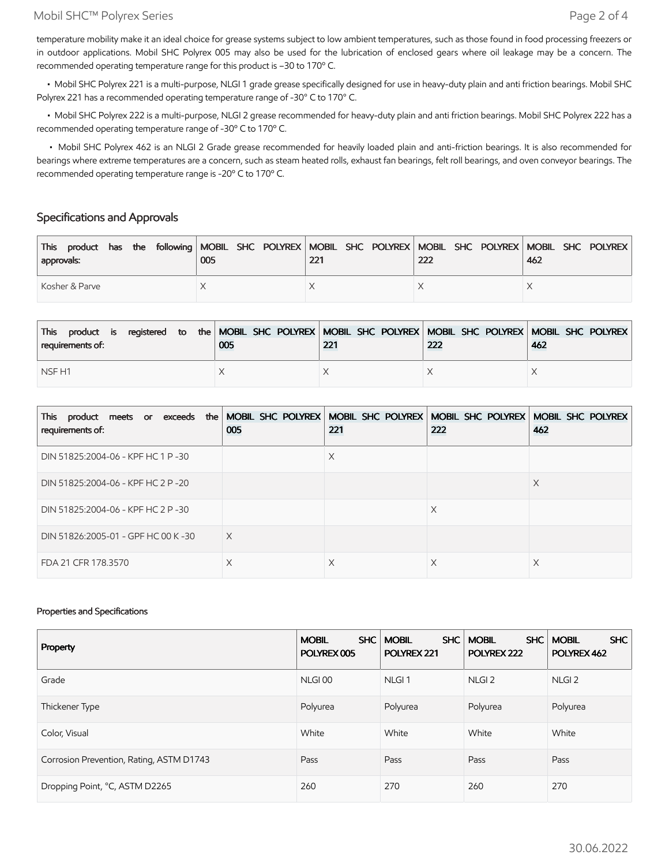#### Mobil SHC™ Polyrex Series Page 2 of 4

temperature mobility make it an ideal choice for grease systems subject to low ambient temperatures, such as those found in food processing freezers or in outdoor applications. Mobil SHC Polyrex 005 may also be used for the lubrication of enclosed gears where oil leakage may be a concern. The recommended operating temperature range for this product is –30 to 170º C.

 • Mobil SHC Polyrex 221 is a multi-purpose, NLGI 1 grade grease specifically designed for use in heavy-duty plain and anti friction bearings. Mobil SHC Polyrex 221 has a recommended operating temperature range of -30° C to 170° C.

 • Mobil SHC Polyrex 222 is a multi-purpose, NLGI 2 grease recommended for heavy-duty plain and anti friction bearings. Mobil SHC Polyrex 222 has a recommended operating temperature range of -30º C to 170º C.

 • Mobil SHC Polyrex 462 is an NLGI 2 Grade grease recommended for heavily loaded plain and anti-friction bearings. It is also recommended for bearings where extreme temperatures are a concern, such as steam heated rolls, exhaust fan bearings, felt roll bearings, and oven conveyor bearings. The recommended operating temperature range is -20º C to 170º C.

## Specifications and Approvals

| This product has the following MOBIL SHC POLYREX MOBIL SHC POLYREX MOBIL SHC POLYREX MOBIL SHC POLYREX<br>approvals: | 005 | 221 | 222 | 462 |
|----------------------------------------------------------------------------------------------------------------------|-----|-----|-----|-----|
| Kosher & Parve                                                                                                       |     |     |     |     |

| product is registered to the MOBIL SHC POLYREX MOBIL SHC POLYREX MOBIL SHC POLYREX MOBIL SHC POLYREX<br><b>This</b><br>requirements of: | 005 | 221 | 222 | 462 |
|-----------------------------------------------------------------------------------------------------------------------------------------|-----|-----|-----|-----|
| NSF <sub>H1</sub>                                                                                                                       |     |     |     |     |

| This product meets or exceeds the MOBIL SHC POLYREX MOBIL SHC POLYREX MOBIL SHC POLYREX MOBIL SHC POLYREX<br>requirements of: | 005 | 221 | 222 | 462 |
|-------------------------------------------------------------------------------------------------------------------------------|-----|-----|-----|-----|
| DIN 51825:2004-06 - KPF HC 1 P-30                                                                                             |     | Χ   |     |     |
| DIN 51825:2004-06 - KPF HC 2 P-20                                                                                             |     |     |     | X   |
| DIN 51825:2004-06 - KPF HC 2 P-30                                                                                             |     |     | X   |     |
| DIN 51826:2005-01 - GPF HC 00 K-30                                                                                            | X   |     |     |     |
| FDA 21 CFR 178.3570                                                                                                           | Х   | X   | X   | X   |

#### Properties and Specifications

| Property                                 | SHC<br><b>MOBIL</b><br>POLYREX 005 | <b>SHC</b><br><b>MOBIL</b><br>POLYREX 221 | <b>MOBIL</b><br><b>SHC</b><br>POLYREX 222 | <b>SHC</b><br><b>MOBIL</b><br>POLYREX 462 |
|------------------------------------------|------------------------------------|-------------------------------------------|-------------------------------------------|-------------------------------------------|
| Grade                                    | NLGI <sub>00</sub>                 | NLGI <sub>1</sub>                         | NLGI <sub>2</sub>                         | NLGI <sub>2</sub>                         |
| Thickener Type                           | Polyurea                           | Polyurea                                  | Polyurea                                  | Polyurea                                  |
| Color, Visual                            | White                              | White                                     | White                                     | White                                     |
| Corrosion Prevention, Rating, ASTM D1743 | Pass                               | Pass                                      | Pass                                      | Pass                                      |
| Dropping Point, °C, ASTM D2265           | 260                                | 270                                       | 260                                       | 270                                       |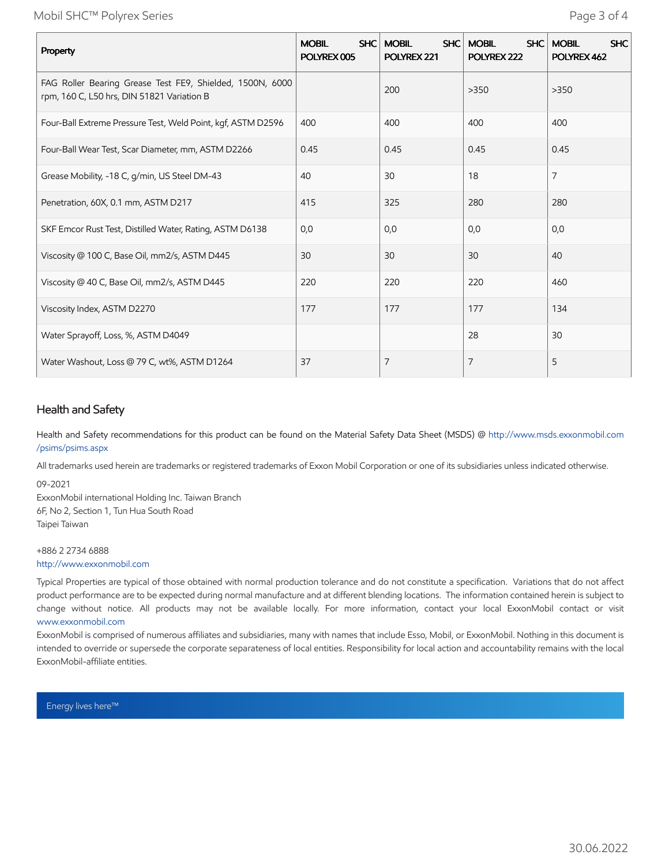Mobil SHC™ Polyrex Series Page 3 of 4

| Property                                                                                                | SHC<br><b>MOBIL</b><br>POLYREX 005 | <b>MOBIL</b><br>SHC  <br>POLYREX 221 | <b>MOBIL</b><br>SHC<br>POLYREX 222 | <b>MOBIL</b><br><b>SHC</b><br>POLYREX 462 |
|---------------------------------------------------------------------------------------------------------|------------------------------------|--------------------------------------|------------------------------------|-------------------------------------------|
| FAG Roller Bearing Grease Test FE9, Shielded, 1500N, 6000<br>rpm, 160 C, L50 hrs, DIN 51821 Variation B |                                    | 200                                  | >350                               | >350                                      |
| Four-Ball Extreme Pressure Test, Weld Point, kgf, ASTM D2596                                            | 400                                | 400                                  | 400                                | 400                                       |
| Four-Ball Wear Test, Scar Diameter, mm, ASTM D2266                                                      | 0.45                               | 0.45                                 | 0.45                               | 0.45                                      |
| Grease Mobility, -18 C, g/min, US Steel DM-43                                                           | 40                                 | 30                                   | 18                                 | $\overline{7}$                            |
| Penetration, 60X, 0.1 mm, ASTM D217                                                                     | 415                                | 325                                  | 280                                | 280                                       |
| SKF Emcor Rust Test, Distilled Water, Rating, ASTM D6138                                                | 0,0                                | 0,0                                  | 0,0                                | 0,0                                       |
| Viscosity @ 100 C, Base Oil, mm2/s, ASTM D445                                                           | 30                                 | 30                                   | 30                                 | 40                                        |
| Viscosity @ 40 C, Base Oil, mm2/s, ASTM D445                                                            | 220                                | 220                                  | 220                                | 460                                       |
| Viscosity Index, ASTM D2270                                                                             | 177                                | 177                                  | 177                                | 134                                       |
| Water Sprayoff, Loss, %, ASTM D4049                                                                     |                                    |                                      | 28                                 | 30                                        |
| Water Washout, Loss @ 79 C, wt%, ASTM D1264                                                             | 37                                 | 7                                    | 7                                  | 5                                         |

## Health and Safety

Health and Safety recommendations for this product can be found on the Material Safety Data Sheet (MSDS) @ [http://www.msds.exxonmobil.com](http://www.msds.exxonmobil.com/psims/psims.aspx) /psims/psims.aspx

All trademarks used herein are trademarks or registered trademarks of Exxon Mobil Corporation or one of its subsidiaries unless indicated otherwise.

09-2021 ExxonMobil international Holding Inc. Taiwan Branch 6F, No 2, Section 1, Tun Hua South Road Taipei Taiwan

#### +886 2 2734 6888 [http://www.exxonmobil.com](http://www.exxonmobil.com/)

Typical Properties are typical of those obtained with normal production tolerance and do not constitute a specification. Variations that do not affect product performance are to be expected during normal manufacture and at different blending locations. The information contained herein is subject to change without notice. All products may not be available locally. For more information, contact your local ExxonMobil contact or visit [www.exxonmobil.com](http://www.exxonmobil.com/)

ExxonMobil is comprised of numerous affiliates and subsidiaries, many with names that include Esso, Mobil, or ExxonMobil. Nothing in this document is intended to override or supersede the corporate separateness of local entities. Responsibility for local action and accountability remains with the local ExxonMobil-affiliate entities.

Energy lives here™